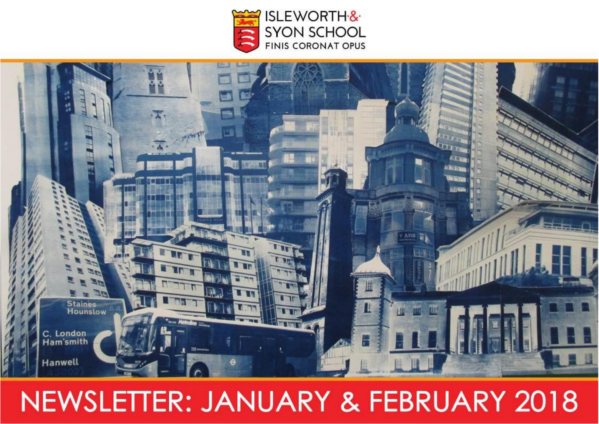



# NEWSLETTER: JANUARY & FEBRUARY 2018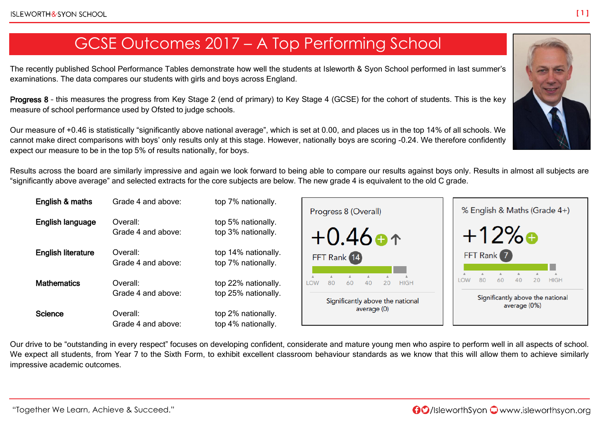### GCSE Outcomes 2017 – A Top Performing School

The recently published School Performance Tables demonstrate how well the students at Isleworth & Syon School performed in last summer's examinations. The data compares our students with girls and boys across England.

Progress 8 – this measures the progress from Key Stage 2 (end of primary) to Key Stage 4 (GCSE) for the cohort of students. This is the key measure of school performance used by Ofsted to judge schools.

Our measure of +0.46 is statistically "significantly above national average", which is set at 0.00, and places us in the top 14% of all schools. We cannot make direct comparisons with boys' only results only at this stage. However, nationally boys are scoring -0.24. We therefore confidently expect our measure to be in the top 5% of results nationally, for boys.

Results across the board are similarly impressive and again we look forward to being able to compare our results against boys only. Results in almost all subjects are "significantly above average" and selected extracts for the core subjects are below. The new grade 4 is equivalent to the old C grade.

| English & maths           | Grade 4 and above:             | top 7% nationally.                         |
|---------------------------|--------------------------------|--------------------------------------------|
| English language          | Overall:<br>Grade 4 and above: | top 5% nationally.<br>top 3% nationally.   |
| <b>English literature</b> | Overall:<br>Grade 4 and above: | top 14% nationally.<br>top 7% nationally.  |
| <b>Mathematics</b>        | Overall:<br>Grade 4 and above: | top 22% nationally.<br>top 25% nationally. |
| <b>Science</b>            | Overall:<br>Grade 4 and above: | top 2% nationally.<br>top 4% nationally.   |



Our drive to be "outstanding in every respect" focuses on developing confident, considerate and mature young men who aspire to perform well in all aspects of school. We expect all students, from Year 7 to the Sixth Form, to exhibit excellent classroom behaviour standards as we know that this will allow them to achieve similarly impressive academic outcomes.

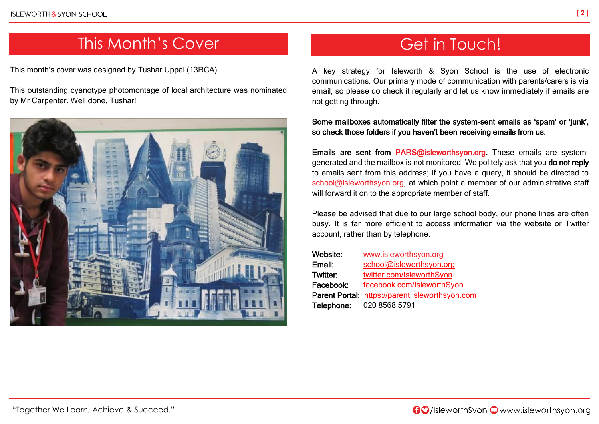### This Month's Cover

This month's cover was designed by Tushar Uppal (13RCA).

This outstanding cyanotype photomontage of local architecture was nominated by Mr Carpenter. Well done, Tushar!



## Get in Touch!

A key strategy for Isleworth & Syon School is the use of electronic communications. Our primary mode of communication with parents/carers is via email, so please do check it regularly and let us know immediately if emails are not getting through.

Some mailboxes automatically filter the system-sent emails as 'spam' or 'junk', so check those folders if you haven't been receiving emails from us.

Emails are sent from [PARS@isleworthsyon.org.](mailto:PARS@isleworthsyon.org) These emails are systemgenerated and the mailbox is not monitored. We politely ask that you do not reply to emails sent from this address; if you have a query, it should be directed to [school@isleworthsyon.org,](mailto:school@isleworthsyon.org) at which point a member of our administrative staff will forward it on to the appropriate member of staff.

Please be advised that due to our large school body, our phone lines are often busy. It is far more efficient to access information via the website or Twitter account, rather than by telephone.

| Website:        | www.isleworthsyon.org                           |
|-----------------|-------------------------------------------------|
| Email:          | school@isleworthsyon.org                        |
| <b>Twitter:</b> | twitter.com/IsleworthSyon                       |
| Facebook:       | facebook.com/IsleworthSyon                      |
|                 | Parent Portal: https://parent.isleworthsyon.com |
| Telephone:      | 020 8568 5791                                   |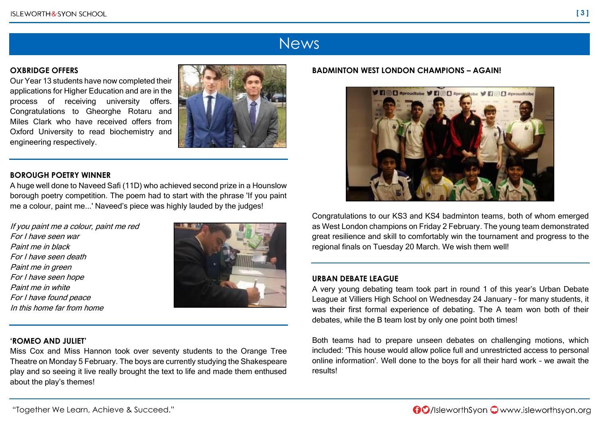### **News**

### **OXBRIDGE OFFERS**

Our Year 13 students have now completed their applications for Higher Education and are in the process of receiving university offers. Congratulations to Gheorghe Rotaru and Miles Clark who have received offers from Oxford University to read biochemistry and engineering respectively.

#### **BOROUGH POETRY WINNER**

A huge well done to Naveed Safi (11D) who achieved second prize in a Hounslow borough poetry competition. The poem had to start with the phrase 'If you paint me a colour, paint me...' Naveed's piece was highly lauded by the judges!

If you paint me a colour, paint me red For I have seen war Paint me in black For I have seen death Paint me in green For I have seen hope Paint me in white For I have found peace In this home far from home



#### **'ROMEO AND JULIET'**

Miss Cox and Miss Hannon took over seventy students to the Orange Tree Theatre on Monday 5 February. The boys are currently studying the Shakespeare play and so seeing it live really brought the text to life and made them enthused about the play's themes!

#### **BADMINTON WEST LONDON CHAMPIONS – AGAIN!**



Congratulations to our KS3 and KS4 badminton teams, both of whom emerged as West London champions on Friday 2 February. The young team demonstrated great resilience and skill to comfortably win the tournament and progress to the regional finals on Tuesday 20 March. We wish them well!

#### **URBAN DEBATE LEAGUE**

A very young debating team took part in round 1 of this year's Urban Debate League at Villiers High School on Wednesday 24 January – for many students, it was their first formal experience of debating. The A team won both of their debates, while the B team lost by only one point both times!

Both teams had to prepare unseen debates on challenging motions, which included: 'This house would allow police full and unrestricted access to personal online information'. Well done to the boys for all their hard work – we await the results!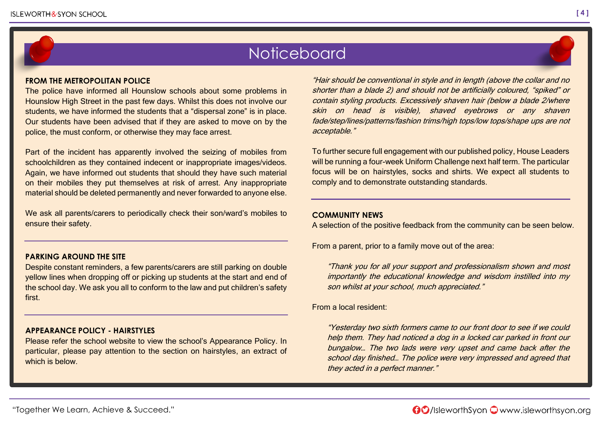### **Noticeboard**

#### **FROM THE METROPOLITAN POLICE**

The police have informed all Hounslow schools about some problems in Hounslow High Street in the past few days. Whilst this does not involve our students, we have informed the students that a "dispersal zone" is in place. Our students have been advised that if they are asked to move on by the police, the must conform, or otherwise they may face arrest.

Part of the incident has apparently involved the seizing of mobiles from schoolchildren as they contained indecent or inappropriate images/videos. Again, we have informed out students that should they have such material on their mobiles they put themselves at risk of arrest. Any inappropriate material should be deleted permanently and never forwarded to anyone else.

We ask all parents/carers to periodically check their son/ward's mobiles to ensure their safety.

#### **PARKING AROUND THE SITE**

Despite constant reminders, a few parents/carers are still parking on double yellow lines when dropping off or picking up students at the start and end of the school day. We ask you all to conform to the law and put children's safety first.

#### **APPEARANCE POLICY - HAIRSTYLES**

Please refer the school website to view the school's Appearance Policy. In particular, please pay attention to the section on hairstyles, an extract of which is below.

"Hair should be conventional in style and in length (above the collar and no shorter than a blade 2) and should not be artificially coloured, "spiked" or contain styling products. Excessively shaven hair (below a blade 2/where skin on head is visible), shaved eyebrows or any shaven fade/step/lines/patterns/fashion trims/high tops/low tops/shape ups are not acceptable."

To further secure full engagement with our published policy, House Leaders will be running a four-week Uniform Challenge next half term. The particular focus will be on hairstyles, socks and shirts. We expect all students to comply and to demonstrate outstanding standards.

#### **COMMUNITY NEWS**

A selection of the positive feedback from the community can be seen below.

From a parent, prior to a family move out of the area:

"Thank you for all your support and professionalism shown and most importantly the educational knowledge and wisdom instilled into my son whilst at your school, much appreciated."

From a local resident:

"Yesterday two sixth formers came to our front door to see if we could help them. They had noticed a dog in a locked car parked in front our bungalow… The two lads were very upset and came back after the school day finished… The police were very impressed and agreed that they acted in a perfect manner."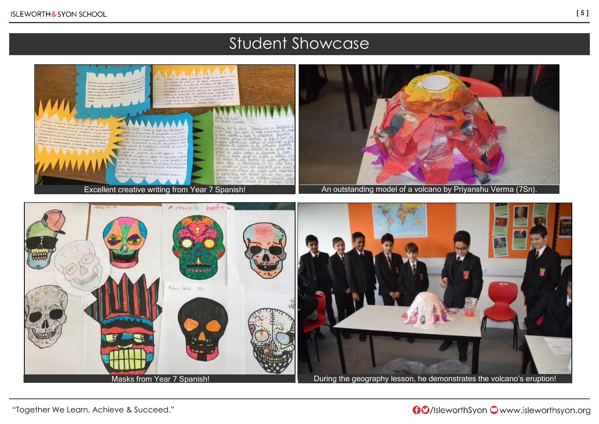### Student Showcase



"Together We Learn, Achieve & Succeed."

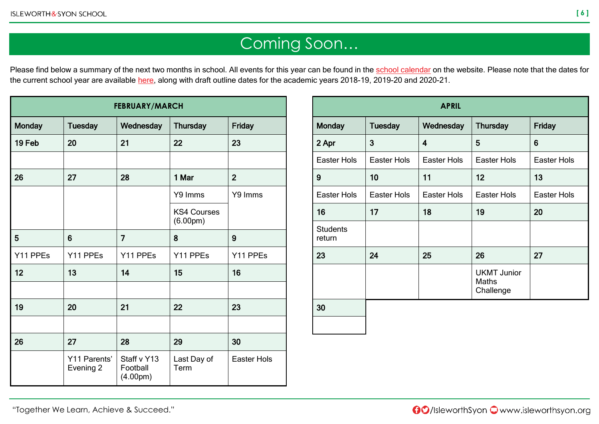## Coming Soon…

Please find below a summary of the next two months in school. All events for this year can be found in the [school calendar](http://www.isleworthsyon.org/calendar/) on the website. Please note that the dates for the current school year are available [here,](http://www.isleworthsyon.org/termdates) along with draft outline dates for the academic years 2018-19, 2019-20 and 2020-21.

| <b>FEBRUARY/MARCH</b> |                           |                                                  |                                             |                    |  |
|-----------------------|---------------------------|--------------------------------------------------|---------------------------------------------|--------------------|--|
| <b>Monday</b>         | <b>Tuesday</b>            | Wednesday                                        | <b>Thursday</b>                             | <b>Friday</b>      |  |
| 19 Feb                | 20                        | 21                                               | 22                                          | 23                 |  |
|                       |                           |                                                  |                                             |                    |  |
| 26                    | 27                        | 28                                               | 1 Mar                                       | $\overline{2}$     |  |
|                       |                           |                                                  | Y9 Imms                                     | Y9 Imms            |  |
|                       |                           |                                                  | <b>KS4 Courses</b><br>(6.00 <sub>pm</sub> ) |                    |  |
| 5                     | 6                         | $\overline{7}$                                   | 8                                           | 9                  |  |
| Y11 PPEs              | Y11 PPEs                  | Y11 PPEs                                         | Y11 PPEs                                    | Y11 PPEs           |  |
| 12                    | 13                        | 14                                               | 15                                          | 16                 |  |
|                       |                           |                                                  |                                             |                    |  |
| 19                    | 20                        | 21                                               | 22                                          | 23                 |  |
|                       |                           |                                                  |                                             |                    |  |
| 26                    | 27                        | 28                                               | 29                                          | 30                 |  |
|                       | Y11 Parents'<br>Evening 2 | Staff v Y13<br>Football<br>(4.00 <sub>pm</sub> ) | Last Day of<br>Term                         | <b>Easter Hols</b> |  |

| <b>APRIL</b>              |                    |             |                                                 |                    |  |
|---------------------------|--------------------|-------------|-------------------------------------------------|--------------------|--|
| <b>Monday</b>             | <b>Tuesday</b>     | Wednesday   | <b>Thursday</b>                                 | Friday             |  |
| 2 Apr                     | 3                  | 4           | 5                                               | 6                  |  |
| Easter Hols               | Easter Hols        | Easter Hols | <b>Easter Hols</b>                              | <b>Easter Hols</b> |  |
| 9                         | 10                 | 11          | 12                                              | 13                 |  |
| Easter Hols               | <b>Easter Hols</b> | Easter Hols | <b>Easter Hols</b>                              | <b>Easter Hols</b> |  |
| 16                        | 17                 | 18          | 19                                              | 20                 |  |
| <b>Students</b><br>return |                    |             |                                                 |                    |  |
| 23                        | 24                 | 25          | 26                                              | 27                 |  |
|                           |                    |             | <b>UKMT Junior</b><br><b>Maths</b><br>Challenge |                    |  |
| 30                        |                    |             |                                                 |                    |  |

**[ 6 ]**

"Together We Learn, Achieve & Succeed."